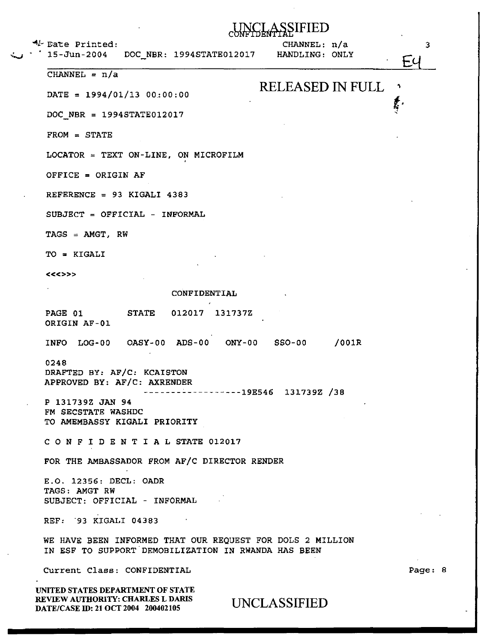|  | $4$ Eate Printed: |
|--|-------------------|
|--|-------------------|

~ 15-Jun-2004 DOC\_NBR: 1994STATE012017

CHANNEL: n/a HANDLING: ONLY

 $t$  .

Fι

3

<

NCLASSIFIED

 $CHANNEL = n/a$ 

DATE = 1994/01/13 00:00:00 RELEASED IN FULL

DOC NBR = 1994STATE012017

FROM = STATE

LOCATOR = TEXT ON-LINE, ON MICROFILM

OFFICE = ORIGIN AF

REFERENCE = 93 KIGALI 4383

SUBJECT = OFFICIAL - INFORMAL

 $TAGS = AMGT, RW$ 

TO = KIGALI

<<<>>>

CONFIDENTIAL

PAGE 01 ORIGIN AF-01 STATE 012017 131737Z

INFO LOG-00 OASY-00 ADS-00 ONY-00 SS0-00 /OOlR

0248 DRAFTED BY: AF/C: KCAISTON APPROVED BY: AF/C: AXRENDER

------------------19ES46 131739Z /38

P 131739Z JAN 94 FM SECSTATE WASHDC TO AMEMBASSY KIGALI PRIORITY

C 0 N F I D E N T I A L STATE 012017

FOR THE AMBASSADOR FROM AF/C DIRECTOR RENDER

E.O. 12356: DECL: OADR TAGS: AMGT RW SUBJECT: OFFICIAL - INFORMAL

REF: **93 KIGALI 04383** 

WE HAVE BEEN INFORMED THAT OUR REQUEST FOR DOLS 2 MILLION IN ESF TO SUPPORT DEMOBILIZATION IN RWANDA HAS BEEN

Current Class: CONFIDENTIAL

UNITED STATES DEPARTMENT OF STATE REVIEW AUTHORITY: CHARLES L DARIS REVIEW AUTHORITY: CHARLES L DARIS UNCLASSIFIED<br>DATE/CASE ID: 21 OCT 2004 200402105 UNCLASSIFIED

Page: 8